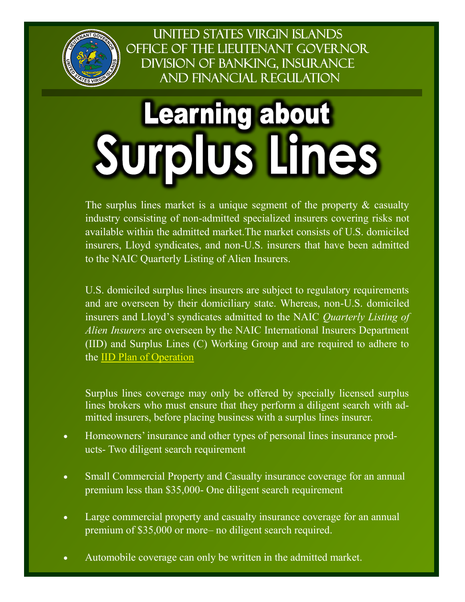

UNITED STATES VIRGIN ISLANDS OFFICE OF THE LIEUTENANT GOVERNOR **DIVISION OF BANKING, INSURANCE AND FINANCIAL REGULATION** 

## **Learning about Surplus Lines**

The surplus lines market is a unique segment of the property  $\&$  casualty industry consisting of non-admitted specialized insurers covering risks not available within the admitted market.The market consists of U.S. domiciled insurers, Lloyd syndicates, and non-U.S. insurers that have been admitted to the NAIC Quarterly Listing of Alien Insurers.

U.S. domiciled surplus lines insurers are subject to regulatory requirements and are overseen by their domiciliary state. Whereas, non-U.S. domiciled insurers and Lloyd's syndicates admitted to the NAIC *Quarterly Listing of Alien Insurers* are overseen by the NAIC International Insurers Department (IID) and Surplus Lines (C) Working Group and are required to adhere to the [IID Plan of Operation](https://content.naic.org/sites/default/files/inline-files/%283%29%202019%20FINAL%20IID%20Plan%20of%20Operation.pdf)

Surplus lines coverage may only be offered by specially licensed surplus lines brokers who must ensure that they perform a diligent search with admitted insurers, before placing business with a surplus lines insurer.

- Homeowners' insurance and other types of personal lines insurance products- Two diligent search requirement
- Small Commercial Property and Casualty insurance coverage for an annual premium less than \$35,000- One diligent search requirement
- Large commercial property and casualty insurance coverage for an annual premium of \$35,000 or more– no diligent search required.
- Automobile coverage can only be written in the admitted market.